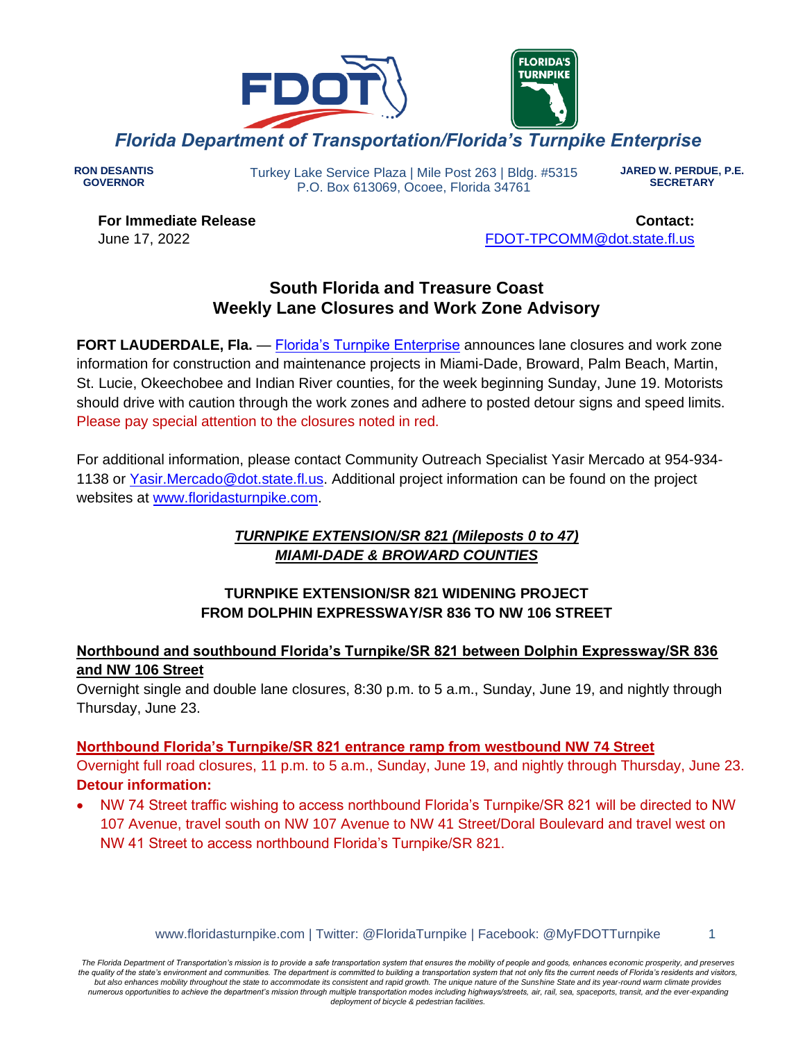

**RON DESANTIS GOVERNOR**

Turkey Lake Service Plaza | Mile Post 263 | Bldg. #5315 P.O. Box 613069, Ocoee, Florida 34761

**JARED W. PERDUE, P.E. SECRETARY**

**For Immediate Release** June 17, 2022

**Contact:** [FDOT-TPCOMM@dot.state.fl.us](mailto:fdot-tpcomm@dot.state.fl.us)

# **South Florida and Treasure Coast Weekly Lane Closures and Work Zone Advisory**

**FORT LAUDERDALE, Fla.** — [Florida's Turnpike Enterprise](http://www.floridasturnpike.com/) announces lane closures and work zone information for construction and maintenance projects in Miami-Dade, Broward, Palm Beach, Martin, St. Lucie, Okeechobee and Indian River counties, for the week beginning Sunday, June 19. Motorists should drive with caution through the work zones and adhere to posted detour signs and speed limits. Please pay special attention to the closures noted in red.

For additional information, please contact Community Outreach Specialist Yasir Mercado at 954-934- 1138 or [Yasir.Mercado@dot.state.fl.us.](mailto:Yasir.Mercado@dot.state.fl.us) Additional project information can be found on the project websites at [www.floridasturnpike.com.](http://www.floridasturnpike.com/)

# *TURNPIKE EXTENSION/SR 821 (Mileposts 0 to 47) MIAMI-DADE & BROWARD COUNTIES*

# **TURNPIKE EXTENSION/SR 821 WIDENING PROJECT FROM DOLPHIN EXPRESSWAY/SR 836 TO NW 106 STREET**

# **Northbound and southbound Florida's Turnpike/SR 821 between Dolphin Expressway/SR 836 and NW 106 Street**

Overnight single and double lane closures, 8:30 p.m. to 5 a.m., Sunday, June 19, and nightly through Thursday, June 23.

# **Northbound Florida's Turnpike/SR 821 entrance ramp from westbound NW 74 Street**

Overnight full road closures, 11 p.m. to 5 a.m., Sunday, June 19, and nightly through Thursday, June 23. **Detour information:**

• NW 74 Street traffic wishing to access northbound Florida's Turnpike/SR 821 will be directed to NW 107 Avenue, travel south on NW 107 Avenue to NW 41 Street/Doral Boulevard and travel west on NW 41 Street to access northbound Florida's Turnpike/SR 821.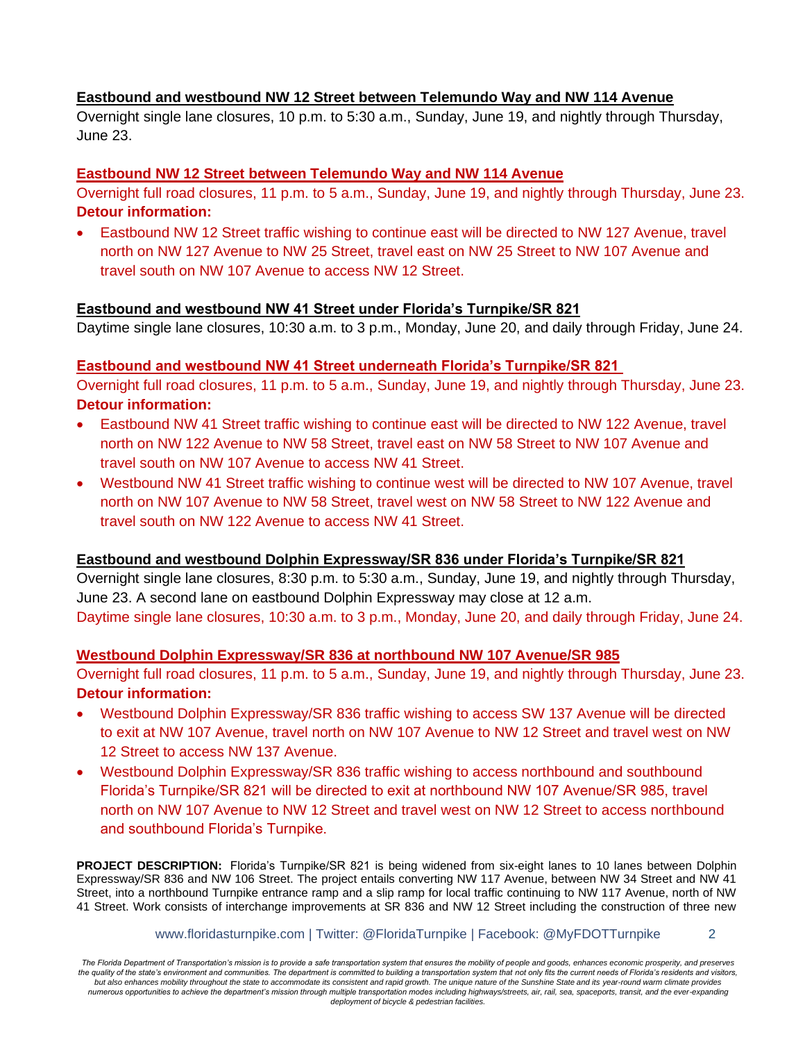#### **Eastbound and westbound NW 12 Street between Telemundo Way and NW 114 Avenue**

Overnight single lane closures, 10 p.m. to 5:30 a.m., Sunday, June 19, and nightly through Thursday, June 23.

#### **Eastbound NW 12 Street between Telemundo Way and NW 114 Avenue**

Overnight full road closures, 11 p.m. to 5 a.m., Sunday, June 19, and nightly through Thursday, June 23. **Detour information:**

• Eastbound NW 12 Street traffic wishing to continue east will be directed to NW 127 Avenue, travel north on NW 127 Avenue to NW 25 Street, travel east on NW 25 Street to NW 107 Avenue and travel south on NW 107 Avenue to access NW 12 Street.

#### **Eastbound and westbound NW 41 Street under Florida's Turnpike/SR 821**

Daytime single lane closures, 10:30 a.m. to 3 p.m., Monday, June 20, and daily through Friday, June 24.

#### **Eastbound and westbound NW 41 Street underneath Florida's Turnpike/SR 821**

Overnight full road closures, 11 p.m. to 5 a.m., Sunday, June 19, and nightly through Thursday, June 23. **Detour information:**

- Eastbound NW 41 Street traffic wishing to continue east will be directed to NW 122 Avenue, travel north on NW 122 Avenue to NW 58 Street, travel east on NW 58 Street to NW 107 Avenue and travel south on NW 107 Avenue to access NW 41 Street.
- Westbound NW 41 Street traffic wishing to continue west will be directed to NW 107 Avenue, travel north on NW 107 Avenue to NW 58 Street, travel west on NW 58 Street to NW 122 Avenue and travel south on NW 122 Avenue to access NW 41 Street.

#### **Eastbound and westbound Dolphin Expressway/SR 836 under Florida's Turnpike/SR 821**

Overnight single lane closures, 8:30 p.m. to 5:30 a.m., Sunday, June 19, and nightly through Thursday, June 23. A second lane on eastbound Dolphin Expressway may close at 12 a.m. Daytime single lane closures, 10:30 a.m. to 3 p.m., Monday, June 20, and daily through Friday, June 24.

#### **Westbound Dolphin Expressway/SR 836 at northbound NW 107 Avenue/SR 985**

Overnight full road closures, 11 p.m. to 5 a.m., Sunday, June 19, and nightly through Thursday, June 23. **Detour information:**

- Westbound Dolphin Expressway/SR 836 traffic wishing to access SW 137 Avenue will be directed to exit at NW 107 Avenue, travel north on NW 107 Avenue to NW 12 Street and travel west on NW 12 Street to access NW 137 Avenue.
- Westbound Dolphin Expressway/SR 836 traffic wishing to access northbound and southbound Florida's Turnpike/SR 821 will be directed to exit at northbound NW 107 Avenue/SR 985, travel north on NW 107 Avenue to NW 12 Street and travel west on NW 12 Street to access northbound and southbound Florida's Turnpike.

**PROJECT DESCRIPTION:** Florida's Turnpike/SR 821 is being widened from six-eight lanes to 10 lanes between Dolphin Expressway/SR 836 and NW 106 Street. The project entails converting NW 117 Avenue, between NW 34 Street and NW 41 Street, into a northbound Turnpike entrance ramp and a slip ramp for local traffic continuing to NW 117 Avenue, north of NW 41 Street. Work consists of interchange improvements at SR 836 and NW 12 Street including the construction of three new

www.floridasturnpike.com | Twitter: @FloridaTurnpike | Facebook: @MyFDOTTurnpike 2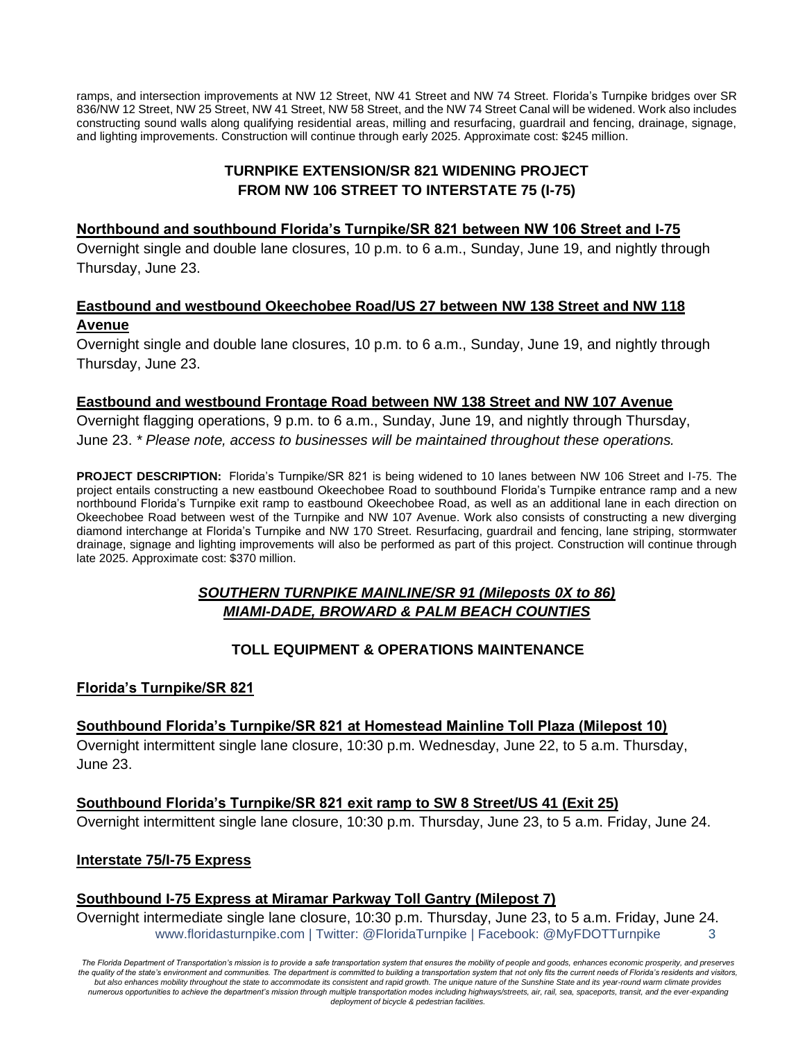ramps, and intersection improvements at NW 12 Street, NW 41 Street and NW 74 Street. Florida's Turnpike bridges over SR 836/NW 12 Street, NW 25 Street, NW 41 Street, NW 58 Street, and the NW 74 Street Canal will be widened. Work also includes constructing sound walls along qualifying residential areas, milling and resurfacing, guardrail and fencing, drainage, signage, and lighting improvements. Construction will continue through early 2025. Approximate cost: \$245 million.

## **TURNPIKE EXTENSION/SR 821 WIDENING PROJECT FROM NW 106 STREET TO INTERSTATE 75 (I-75)**

#### **Northbound and southbound Florida's Turnpike/SR 821 between NW 106 Street and I-75**

Overnight single and double lane closures, 10 p.m. to 6 a.m., Sunday, June 19, and nightly through Thursday, June 23.

# **Eastbound and westbound Okeechobee Road/US 27 between NW 138 Street and NW 118 Avenue**

Overnight single and double lane closures, 10 p.m. to 6 a.m., Sunday, June 19, and nightly through Thursday, June 23.

#### **Eastbound and westbound Frontage Road between NW 138 Street and NW 107 Avenue**

Overnight flagging operations, 9 p.m. to 6 a.m., Sunday, June 19, and nightly through Thursday, June 23. *\* Please note, access to businesses will be maintained throughout these operations.*

**PROJECT DESCRIPTION:** Florida's Turnpike/SR 821 is being widened to 10 lanes between NW 106 Street and I-75. The project entails constructing a new eastbound Okeechobee Road to southbound Florida's Turnpike entrance ramp and a new northbound Florida's Turnpike exit ramp to eastbound Okeechobee Road, as well as an additional lane in each direction on Okeechobee Road between west of the Turnpike and NW 107 Avenue. Work also consists of constructing a new diverging diamond interchange at Florida's Turnpike and NW 170 Street. Resurfacing, guardrail and fencing, lane striping, stormwater drainage, signage and lighting improvements will also be performed as part of this project. Construction will continue through late 2025. Approximate cost: \$370 million.

# *SOUTHERN TURNPIKE MAINLINE/SR 91 (Mileposts 0X to 86) MIAMI-DADE, BROWARD & PALM BEACH COUNTIES*

# **TOLL EQUIPMENT & OPERATIONS MAINTENANCE**

#### **Florida's Turnpike/SR 821**

**Southbound Florida's Turnpike/SR 821 at Homestead Mainline Toll Plaza (Milepost 10)**  Overnight intermittent single lane closure, 10:30 p.m. Wednesday, June 22, to 5 a.m. Thursday, June 23.

**Southbound Florida's Turnpike/SR 821 exit ramp to SW 8 Street/US 41 (Exit 25)** Overnight intermittent single lane closure, 10:30 p.m. Thursday, June 23, to 5 a.m. Friday, June 24.

#### **Interstate 75/I-75 Express**

#### **Southbound I-75 Express at Miramar Parkway Toll Gantry (Milepost 7)**

www.floridasturnpike.com | Twitter: @FloridaTurnpike | Facebook: @MyFDOTTurnpike 3 Overnight intermediate single lane closure, 10:30 p.m. Thursday, June 23, to 5 a.m. Friday, June 24.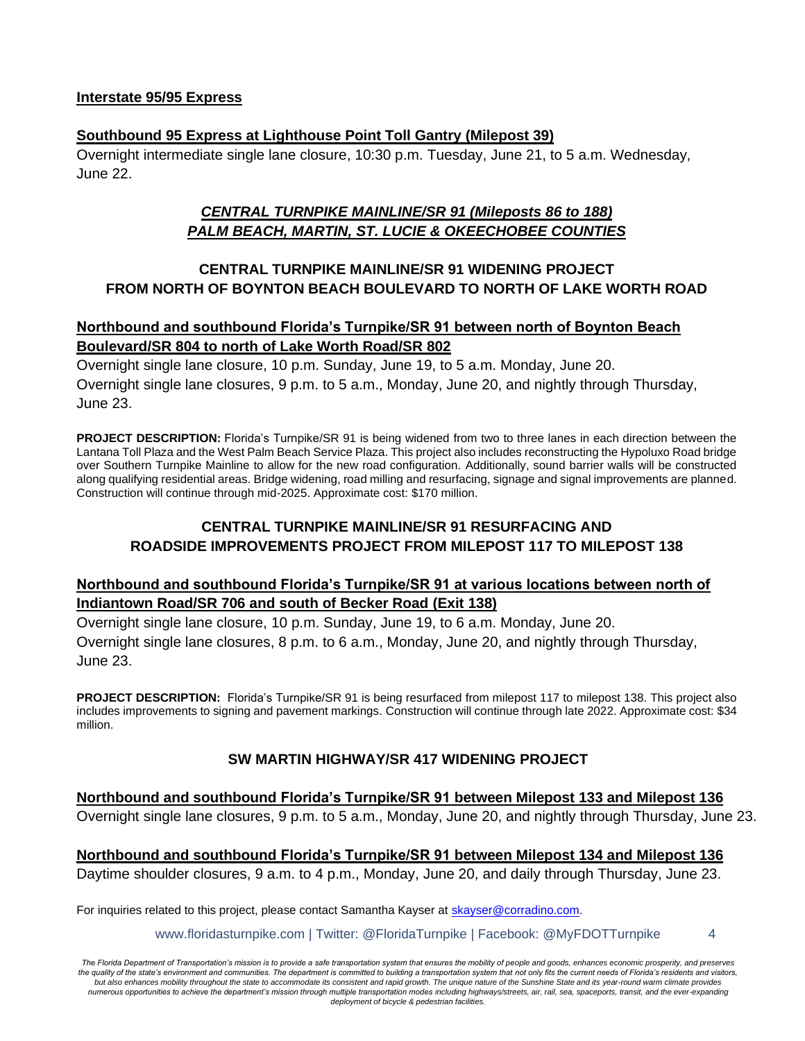#### **Interstate 95/95 Express**

#### **Southbound 95 Express at Lighthouse Point Toll Gantry (Milepost 39)**

Overnight intermediate single lane closure, 10:30 p.m. Tuesday, June 21, to 5 a.m. Wednesday, June 22.

# *CENTRAL TURNPIKE MAINLINE/SR 91 (Mileposts 86 to 188) PALM BEACH, MARTIN, ST. LUCIE & OKEECHOBEE COUNTIES*

## **CENTRAL TURNPIKE MAINLINE/SR 91 WIDENING PROJECT FROM NORTH OF BOYNTON BEACH BOULEVARD TO NORTH OF LAKE WORTH ROAD**

## **Northbound and southbound Florida's Turnpike/SR 91 between north of Boynton Beach Boulevard/SR 804 to north of Lake Worth Road/SR 802**

Overnight single lane closure, 10 p.m. Sunday, June 19, to 5 a.m. Monday, June 20. Overnight single lane closures, 9 p.m. to 5 a.m., Monday, June 20, and nightly through Thursday, June 23.

**PROJECT DESCRIPTION:** Florida's Turnpike/SR 91 is being widened from two to three lanes in each direction between the Lantana Toll Plaza and the West Palm Beach Service Plaza. This project also includes reconstructing the Hypoluxo Road bridge over Southern Turnpike Mainline to allow for the new road configuration. Additionally, sound barrier walls will be constructed along qualifying residential areas. Bridge widening, road milling and resurfacing, signage and signal improvements are planned. Construction will continue through mid-2025. Approximate cost: \$170 million.

## **CENTRAL TURNPIKE MAINLINE/SR 91 RESURFACING AND ROADSIDE IMPROVEMENTS PROJECT FROM MILEPOST 117 TO MILEPOST 138**

#### **Northbound and southbound Florida's Turnpike/SR 91 at various locations between north of Indiantown Road/SR 706 and south of Becker Road (Exit 138)**

Overnight single lane closure, 10 p.m. Sunday, June 19, to 6 a.m. Monday, June 20. Overnight single lane closures, 8 p.m. to 6 a.m., Monday, June 20, and nightly through Thursday, June 23.

**PROJECT DESCRIPTION:** Florida's Turnpike/SR 91 is being resurfaced from milepost 117 to milepost 138. This project also includes improvements to signing and pavement markings. Construction will continue through late 2022. Approximate cost: \$34 million.

# **SW MARTIN HIGHWAY/SR 417 WIDENING PROJECT**

# **Northbound and southbound Florida's Turnpike/SR 91 between Milepost 133 and Milepost 136**

Overnight single lane closures, 9 p.m. to 5 a.m., Monday, June 20, and nightly through Thursday, June 23.

**Northbound and southbound Florida's Turnpike/SR 91 between Milepost 134 and Milepost 136** Daytime shoulder closures, 9 a.m. to 4 p.m., Monday, June 20, and daily through Thursday, June 23.

For inquiries related to this project, please contact Samantha Kayser at [skayser@corradino.com.](mailto:skayser@corradino.com)

www.floridasturnpike.com | Twitter: @FloridaTurnpike | Facebook: @MyFDOTTurnpike 4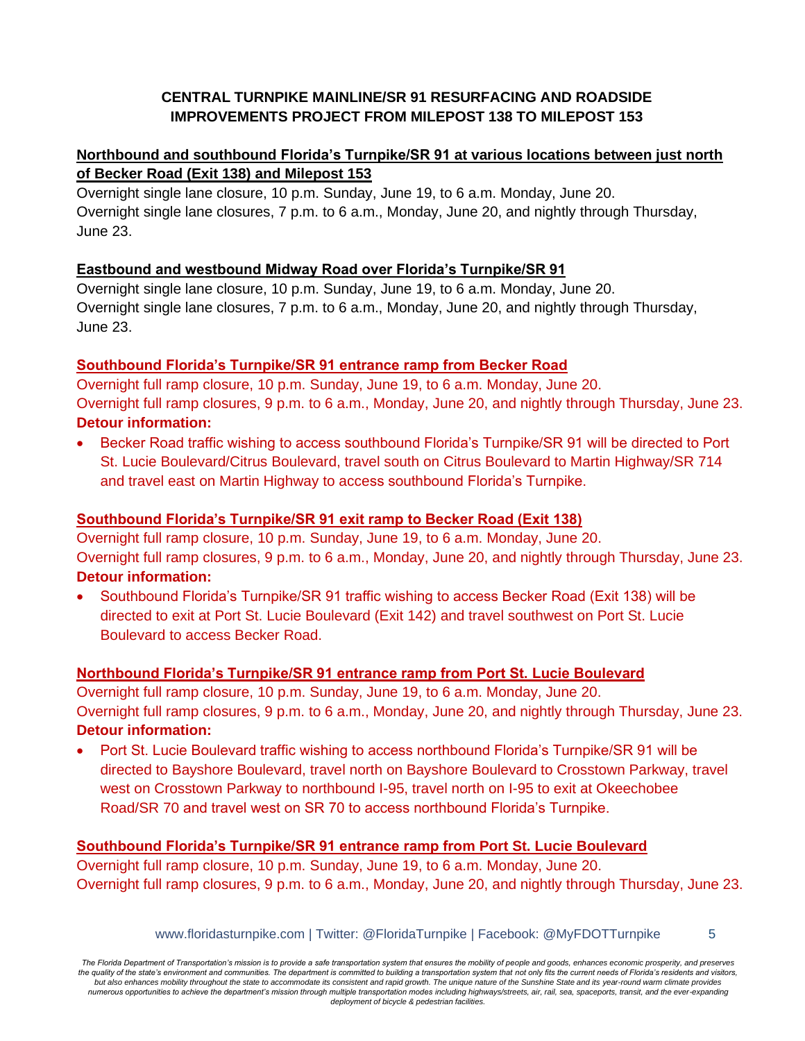# **CENTRAL TURNPIKE MAINLINE/SR 91 RESURFACING AND ROADSIDE IMPROVEMENTS PROJECT FROM MILEPOST 138 TO MILEPOST 153**

# **Northbound and southbound Florida's Turnpike/SR 91 at various locations between just north of Becker Road (Exit 138) and Milepost 153**

Overnight single lane closure, 10 p.m. Sunday, June 19, to 6 a.m. Monday, June 20. Overnight single lane closures, 7 p.m. to 6 a.m., Monday, June 20, and nightly through Thursday, June 23.

# **Eastbound and westbound Midway Road over Florida's Turnpike/SR 91**

Overnight single lane closure, 10 p.m. Sunday, June 19, to 6 a.m. Monday, June 20. Overnight single lane closures, 7 p.m. to 6 a.m., Monday, June 20, and nightly through Thursday, June 23.

# **Southbound Florida's Turnpike/SR 91 entrance ramp from Becker Road**

Overnight full ramp closure, 10 p.m. Sunday, June 19, to 6 a.m. Monday, June 20. Overnight full ramp closures, 9 p.m. to 6 a.m., Monday, June 20, and nightly through Thursday, June 23. **Detour information:**

• Becker Road traffic wishing to access southbound Florida's Turnpike/SR 91 will be directed to Port St. Lucie Boulevard/Citrus Boulevard, travel south on Citrus Boulevard to Martin Highway/SR 714 and travel east on Martin Highway to access southbound Florida's Turnpike.

# **Southbound Florida's Turnpike/SR 91 exit ramp to Becker Road (Exit 138)**

Overnight full ramp closure, 10 p.m. Sunday, June 19, to 6 a.m. Monday, June 20. Overnight full ramp closures, 9 p.m. to 6 a.m., Monday, June 20, and nightly through Thursday, June 23. **Detour information:**

• Southbound Florida's Turnpike/SR 91 traffic wishing to access Becker Road (Exit 138) will be directed to exit at Port St. Lucie Boulevard (Exit 142) and travel southwest on Port St. Lucie Boulevard to access Becker Road.

# **Northbound Florida's Turnpike/SR 91 entrance ramp from Port St. Lucie Boulevard**

Overnight full ramp closure, 10 p.m. Sunday, June 19, to 6 a.m. Monday, June 20. Overnight full ramp closures, 9 p.m. to 6 a.m., Monday, June 20, and nightly through Thursday, June 23. **Detour information:**

• Port St. Lucie Boulevard traffic wishing to access northbound Florida's Turnpike/SR 91 will be directed to Bayshore Boulevard, travel north on Bayshore Boulevard to Crosstown Parkway, travel west on Crosstown Parkway to northbound I-95, travel north on I-95 to exit at Okeechobee Road/SR 70 and travel west on SR 70 to access northbound Florida's Turnpike.

# **Southbound Florida's Turnpike/SR 91 entrance ramp from Port St. Lucie Boulevard**

Overnight full ramp closure, 10 p.m. Sunday, June 19, to 6 a.m. Monday, June 20. Overnight full ramp closures, 9 p.m. to 6 a.m., Monday, June 20, and nightly through Thursday, June 23.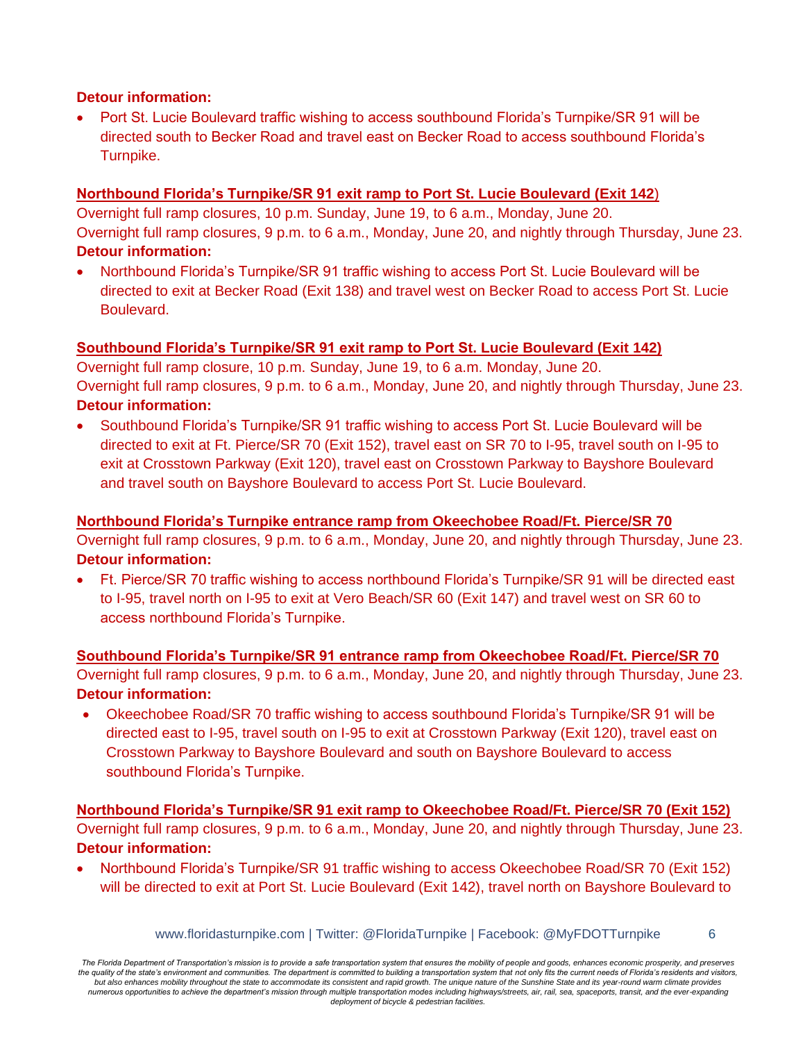#### **Detour information:**

• Port St. Lucie Boulevard traffic wishing to access southbound Florida's Turnpike/SR 91 will be directed south to Becker Road and travel east on Becker Road to access southbound Florida's Turnpike.

# **Northbound Florida's Turnpike/SR 91 exit ramp to Port St. Lucie Boulevard (Exit 142**)

Overnight full ramp closures, 10 p.m. Sunday, June 19, to 6 a.m., Monday, June 20. Overnight full ramp closures, 9 p.m. to 6 a.m., Monday, June 20, and nightly through Thursday, June 23. **Detour information:**

• Northbound Florida's Turnpike/SR 91 traffic wishing to access Port St. Lucie Boulevard will be directed to exit at Becker Road (Exit 138) and travel west on Becker Road to access Port St. Lucie Boulevard.

# **Southbound Florida's Turnpike/SR 91 exit ramp to Port St. Lucie Boulevard (Exit 142)**

Overnight full ramp closure, 10 p.m. Sunday, June 19, to 6 a.m. Monday, June 20. Overnight full ramp closures, 9 p.m. to 6 a.m., Monday, June 20, and nightly through Thursday, June 23. **Detour information:**

• Southbound Florida's Turnpike/SR 91 traffic wishing to access Port St. Lucie Boulevard will be directed to exit at Ft. Pierce/SR 70 (Exit 152), travel east on SR 70 to I-95, travel south on I-95 to exit at Crosstown Parkway (Exit 120), travel east on Crosstown Parkway to Bayshore Boulevard and travel south on Bayshore Boulevard to access Port St. Lucie Boulevard.

# **Northbound Florida's Turnpike entrance ramp from Okeechobee Road/Ft. Pierce/SR 70**

Overnight full ramp closures, 9 p.m. to 6 a.m., Monday, June 20, and nightly through Thursday, June 23. **Detour information:**

• Ft. Pierce/SR 70 traffic wishing to access northbound Florida's Turnpike/SR 91 will be directed east to I-95, travel north on I-95 to exit at Vero Beach/SR 60 (Exit 147) and travel west on SR 60 to access northbound Florida's Turnpike.

# **Southbound Florida's Turnpike/SR 91 entrance ramp from Okeechobee Road/Ft. Pierce/SR 70**

Overnight full ramp closures, 9 p.m. to 6 a.m., Monday, June 20, and nightly through Thursday, June 23. **Detour information:**

• Okeechobee Road/SR 70 traffic wishing to access southbound Florida's Turnpike/SR 91 will be directed east to I-95, travel south on I-95 to exit at Crosstown Parkway (Exit 120), travel east on Crosstown Parkway to Bayshore Boulevard and south on Bayshore Boulevard to access southbound Florida's Turnpike.

**Northbound Florida's Turnpike/SR 91 exit ramp to Okeechobee Road/Ft. Pierce/SR 70 (Exit 152)** Overnight full ramp closures, 9 p.m. to 6 a.m., Monday, June 20, and nightly through Thursday, June 23. **Detour information:**

• Northbound Florida's Turnpike/SR 91 traffic wishing to access Okeechobee Road/SR 70 (Exit 152) will be directed to exit at Port St. Lucie Boulevard (Exit 142), travel north on Bayshore Boulevard to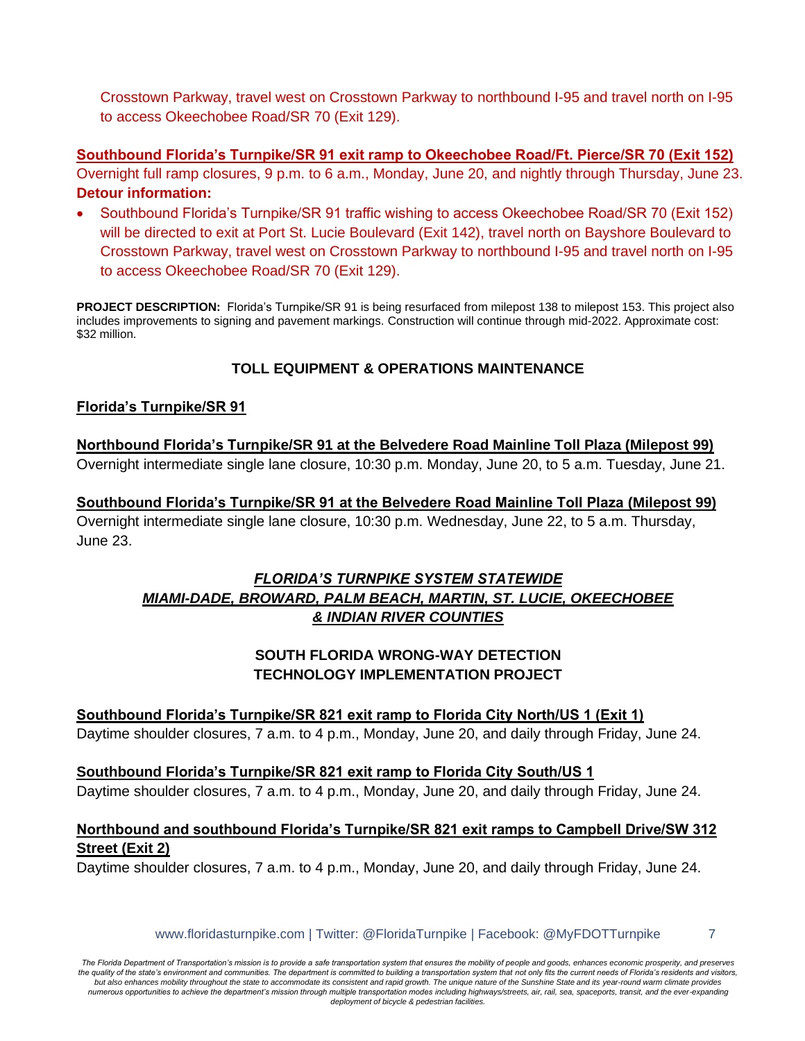Crosstown Parkway, travel west on Crosstown Parkway to northbound I-95 and travel north on I-95 to access Okeechobee Road/SR 70 (Exit 129).

**Southbound Florida's Turnpike/SR 91 exit ramp to Okeechobee Road/Ft. Pierce/SR 70 (Exit 152)**  Overnight full ramp closures, 9 p.m. to 6 a.m., Monday, June 20, and nightly through Thursday, June 23. **Detour information:**

• Southbound Florida's Turnpike/SR 91 traffic wishing to access Okeechobee Road/SR 70 (Exit 152) will be directed to exit at Port St. Lucie Boulevard (Exit 142), travel north on Bayshore Boulevard to Crosstown Parkway, travel west on Crosstown Parkway to northbound I-95 and travel north on I-95 to access Okeechobee Road/SR 70 (Exit 129).

**PROJECT DESCRIPTION:** Florida's Turnpike/SR 91 is being resurfaced from milepost 138 to milepost 153. This project also includes improvements to signing and pavement markings. Construction will continue through mid-2022. Approximate cost: \$32 million.

# **TOLL EQUIPMENT & OPERATIONS MAINTENANCE**

## **Florida's Turnpike/SR 91**

**Northbound Florida's Turnpike/SR 91 at the Belvedere Road Mainline Toll Plaza (Milepost 99)** Overnight intermediate single lane closure, 10:30 p.m. Monday, June 20, to 5 a.m. Tuesday, June 21.

**Southbound Florida's Turnpike/SR 91 at the Belvedere Road Mainline Toll Plaza (Milepost 99)** Overnight intermediate single lane closure, 10:30 p.m. Wednesday, June 22, to 5 a.m. Thursday, June 23.

# *FLORIDA'S TURNPIKE SYSTEM STATEWIDE MIAMI-DADE, BROWARD, PALM BEACH, MARTIN, ST. LUCIE, OKEECHOBEE & INDIAN RIVER COUNTIES*

# **SOUTH FLORIDA WRONG-WAY DETECTION TECHNOLOGY IMPLEMENTATION PROJECT**

# **Southbound Florida's Turnpike/SR 821 exit ramp to Florida City North/US 1 (Exit 1)**

Daytime shoulder closures, 7 a.m. to 4 p.m., Monday, June 20, and daily through Friday, June 24.

#### **Southbound Florida's Turnpike/SR 821 exit ramp to Florida City South/US 1**

Daytime shoulder closures, 7 a.m. to 4 p.m., Monday, June 20, and daily through Friday, June 24.

## **Northbound and southbound Florida's Turnpike/SR 821 exit ramps to Campbell Drive/SW 312 Street (Exit 2)**

Daytime shoulder closures, 7 a.m. to 4 p.m., Monday, June 20, and daily through Friday, June 24.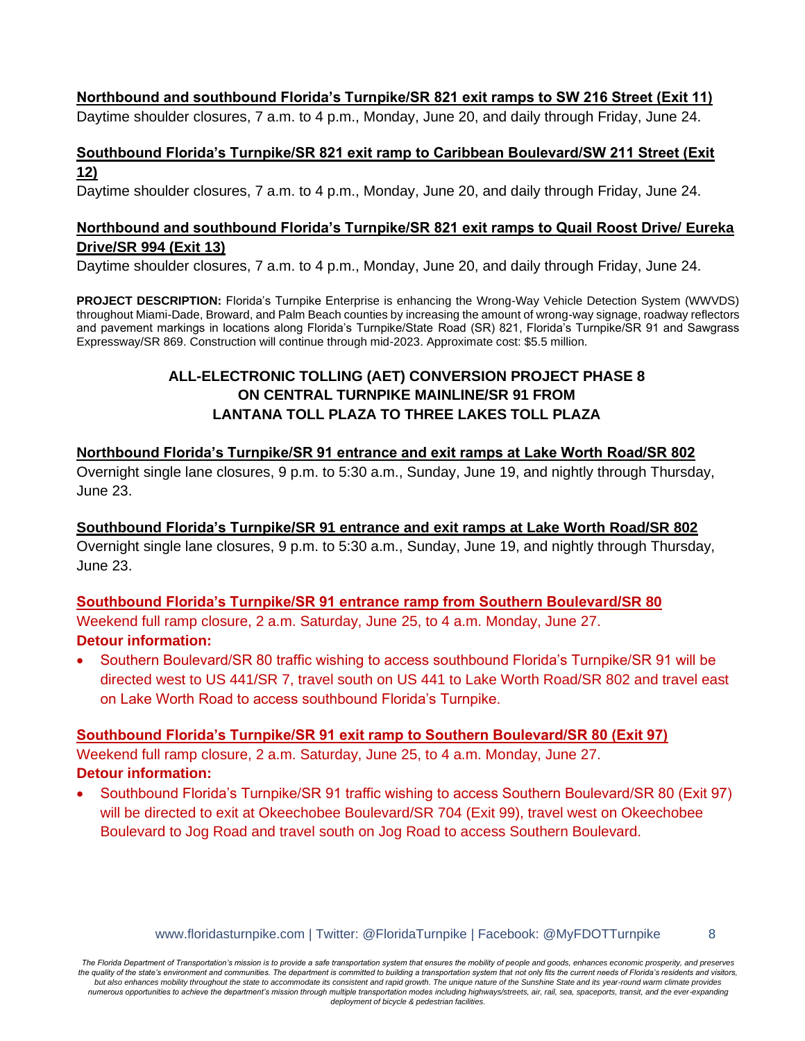#### **Northbound and southbound Florida's Turnpike/SR 821 exit ramps to SW 216 Street (Exit 11)**

Daytime shoulder closures, 7 a.m. to 4 p.m., Monday, June 20, and daily through Friday, June 24.

#### **Southbound Florida's Turnpike/SR 821 exit ramp to Caribbean Boulevard/SW 211 Street (Exit 12)**

Daytime shoulder closures, 7 a.m. to 4 p.m., Monday, June 20, and daily through Friday, June 24.

## **Northbound and southbound Florida's Turnpike/SR 821 exit ramps to Quail Roost Drive/ Eureka Drive/SR 994 (Exit 13)**

Daytime shoulder closures, 7 a.m. to 4 p.m., Monday, June 20, and daily through Friday, June 24.

**PROJECT DESCRIPTION:** Florida's Turnpike Enterprise is enhancing the Wrong-Way Vehicle Detection System (WWVDS) throughout Miami-Dade, Broward, and Palm Beach counties by increasing the amount of wrong-way signage, roadway reflectors and pavement markings in locations along Florida's Turnpike/State Road (SR) 821, Florida's Turnpike/SR 91 and Sawgrass Expressway/SR 869. Construction will continue through mid-2023. Approximate cost: \$5.5 million.

# **ALL-ELECTRONIC TOLLING (AET) CONVERSION PROJECT PHASE 8 ON CENTRAL TURNPIKE MAINLINE/SR 91 FROM LANTANA TOLL PLAZA TO THREE LAKES TOLL PLAZA**

## **Northbound Florida's Turnpike/SR 91 entrance and exit ramps at Lake Worth Road/SR 802**

Overnight single lane closures, 9 p.m. to 5:30 a.m., Sunday, June 19, and nightly through Thursday, June 23.

#### **Southbound Florida's Turnpike/SR 91 entrance and exit ramps at Lake Worth Road/SR 802**

Overnight single lane closures, 9 p.m. to 5:30 a.m., Sunday, June 19, and nightly through Thursday, June 23.

# **Southbound Florida's Turnpike/SR 91 entrance ramp from Southern Boulevard/SR 80** Weekend full ramp closure, 2 a.m. Saturday, June 25, to 4 a.m. Monday, June 27.

#### **Detour information:**

• Southern Boulevard/SR 80 traffic wishing to access southbound Florida's Turnpike/SR 91 will be directed west to US 441/SR 7, travel south on US 441 to Lake Worth Road/SR 802 and travel east on Lake Worth Road to access southbound Florida's Turnpike.

#### **Southbound Florida's Turnpike/SR 91 exit ramp to Southern Boulevard/SR 80 (Exit 97)**

Weekend full ramp closure, 2 a.m. Saturday, June 25, to 4 a.m. Monday, June 27. **Detour information:**

• Southbound Florida's Turnpike/SR 91 traffic wishing to access Southern Boulevard/SR 80 (Exit 97) will be directed to exit at Okeechobee Boulevard/SR 704 (Exit 99), travel west on Okeechobee Boulevard to Jog Road and travel south on Jog Road to access Southern Boulevard.